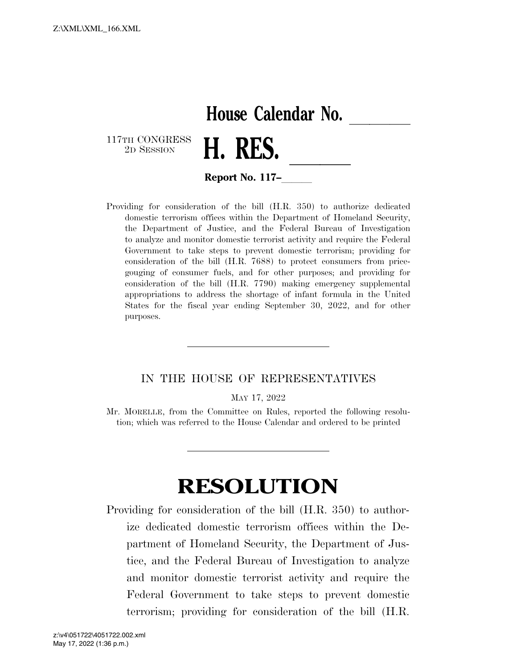## **House Calendar No.**

117TH CONGRESS<br>2D SESSION



**Report No. 117–** 

Providing for consideration of the bill (H.R. 350) to authorize dedicated domestic terrorism offices within the Department of Homeland Security, the Department of Justice, and the Federal Bureau of Investigation to analyze and monitor domestic terrorist activity and require the Federal Government to take steps to prevent domestic terrorism; providing for consideration of the bill (H.R. 7688) to protect consumers from pricegouging of consumer fuels, and for other purposes; and providing for consideration of the bill (H.R. 7790) making emergency supplemental appropriations to address the shortage of infant formula in the United States for the fiscal year ending September 30, 2022, and for other purposes.

## IN THE HOUSE OF REPRESENTATIVES

MAY 17, 2022

Mr. MORELLE, from the Committee on Rules, reported the following resolution; which was referred to the House Calendar and ordered to be printed

## **RESOLUTION**

Providing for consideration of the bill (H.R. 350) to authorize dedicated domestic terrorism offices within the Department of Homeland Security, the Department of Justice, and the Federal Bureau of Investigation to analyze and monitor domestic terrorist activity and require the Federal Government to take steps to prevent domestic terrorism; providing for consideration of the bill (H.R.

May 17, 2022 (1:36 p.m.) z:\v4\051722\4051722.002.xml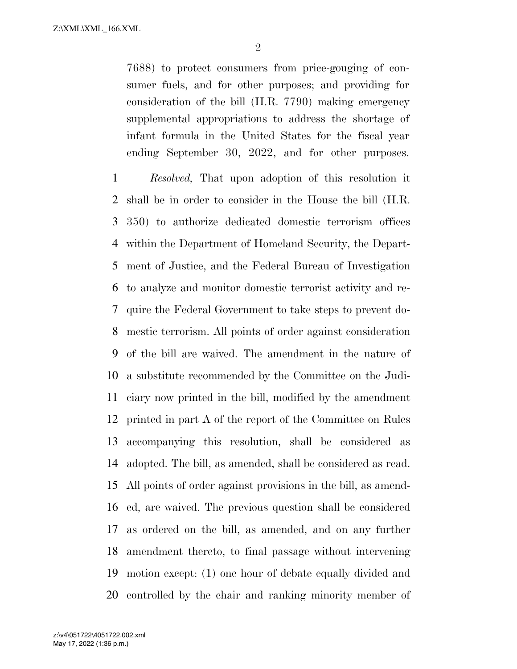7688) to protect consumers from price-gouging of consumer fuels, and for other purposes; and providing for consideration of the bill (H.R. 7790) making emergency supplemental appropriations to address the shortage of infant formula in the United States for the fiscal year ending September 30, 2022, and for other purposes.

 *Resolved,* That upon adoption of this resolution it shall be in order to consider in the House the bill (H.R. 350) to authorize dedicated domestic terrorism offices within the Department of Homeland Security, the Depart- ment of Justice, and the Federal Bureau of Investigation to analyze and monitor domestic terrorist activity and re- quire the Federal Government to take steps to prevent do- mestic terrorism. All points of order against consideration of the bill are waived. The amendment in the nature of a substitute recommended by the Committee on the Judi- ciary now printed in the bill, modified by the amendment printed in part A of the report of the Committee on Rules accompanying this resolution, shall be considered as adopted. The bill, as amended, shall be considered as read. All points of order against provisions in the bill, as amend- ed, are waived. The previous question shall be considered as ordered on the bill, as amended, and on any further amendment thereto, to final passage without intervening motion except: (1) one hour of debate equally divided and controlled by the chair and ranking minority member of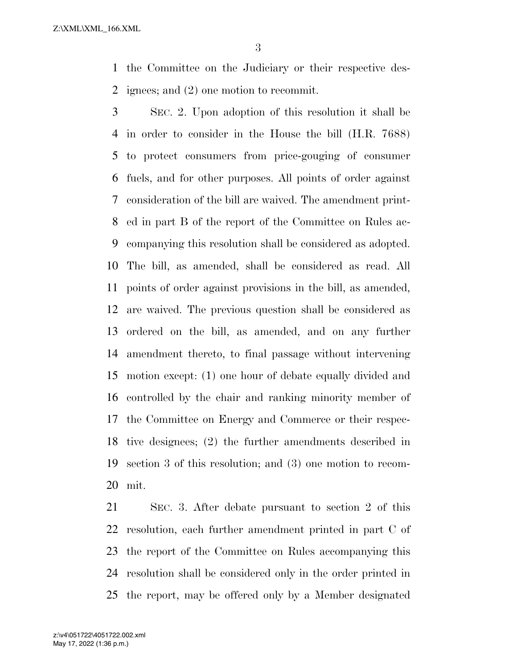Z:\XML\XML\_166.XML

 the Committee on the Judiciary or their respective des-ignees; and (2) one motion to recommit.

 SEC. 2. Upon adoption of this resolution it shall be in order to consider in the House the bill (H.R. 7688) to protect consumers from price-gouging of consumer fuels, and for other purposes. All points of order against consideration of the bill are waived. The amendment print- ed in part B of the report of the Committee on Rules ac- companying this resolution shall be considered as adopted. The bill, as amended, shall be considered as read. All points of order against provisions in the bill, as amended, are waived. The previous question shall be considered as ordered on the bill, as amended, and on any further amendment thereto, to final passage without intervening motion except: (1) one hour of debate equally divided and controlled by the chair and ranking minority member of the Committee on Energy and Commerce or their respec- tive designees; (2) the further amendments described in section 3 of this resolution; and (3) one motion to recom-mit.

 SEC. 3. After debate pursuant to section 2 of this resolution, each further amendment printed in part C of the report of the Committee on Rules accompanying this resolution shall be considered only in the order printed in the report, may be offered only by a Member designated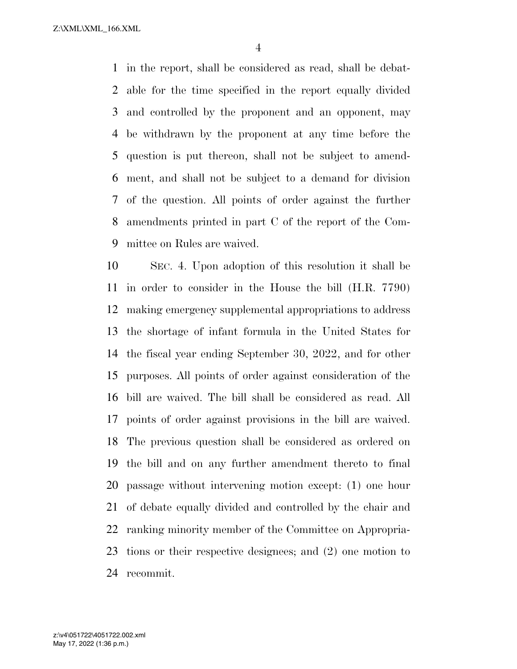Z:\XML\XML\_166.XML

 in the report, shall be considered as read, shall be debat- able for the time specified in the report equally divided and controlled by the proponent and an opponent, may be withdrawn by the proponent at any time before the question is put thereon, shall not be subject to amend- ment, and shall not be subject to a demand for division of the question. All points of order against the further amendments printed in part C of the report of the Com-mittee on Rules are waived.

 SEC. 4. Upon adoption of this resolution it shall be in order to consider in the House the bill (H.R. 7790) making emergency supplemental appropriations to address the shortage of infant formula in the United States for the fiscal year ending September 30, 2022, and for other purposes. All points of order against consideration of the bill are waived. The bill shall be considered as read. All points of order against provisions in the bill are waived. The previous question shall be considered as ordered on the bill and on any further amendment thereto to final passage without intervening motion except: (1) one hour of debate equally divided and controlled by the chair and ranking minority member of the Committee on Appropria- tions or their respective designees; and (2) one motion to recommit.